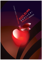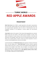

# -------------- **TURKIC WORLD** -------------- **RED APPLE AWARDS**

## **PRESENTMENT**

**World Turkic Forum** led by TASAM is a global organization which gathers representatives from Turkic States, opinions leaders from Turkic Diasporas around the world, Think Tanks and non-governmental organizations within the frame of multi-dimensional issues and strategically contributes to the deepening of common agenda and socio-economic integration.

**Turkic World** includes all the people of Turkic descend both geographically and culturally. Besides Central Asia and Turkistan, Turkic World consists of Republic of Turkey, Turkic regions and Diasporas in Europe, Caucasus, China and Russian Federation, Turkic states and Autonomous Turkic Republics. World Turkic Forum; by increasing interaction within Turkic World; aims to develop political, scientific, economic and cultural cooperation in order to contribute maintaining global peace, democracy and stability.

In the final declaration of 2<sup>nd</sup> World Turkic Forum which took place in İstanbul on 03-05 April 2013; it has been adopted that a **"Turkic World Award"** ceremony should be organized within the body of the Forum. In order to honor and encourage successful individuals and institutions that strengthen Turkic World's vision and depth; it was decided that Turkic World Red Apple Awards should be given to those individuals and institutions annually beginning from 2014 in the categories such as; **state, diplomacy, business, science, culture, art, technology, strategy, sports and public diplomacy**.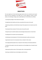

# **OBJECTIVES**

The main objectives of Turkic World Red Apple Awards which aim to determine and reward those who have contributed to the fields such as; state, diplomacy, business, science, culture, art, technology, strategy, sports, public diplomacy in Turkic World; are as follows:

- Increasing the prestige of Turkic World and its people

- Strengthening Turkic identity and culture; promoting Turkic culture to the world

- Maintaining solidarity and brotherhood among Turkic people who are located around the world

- Promoting the finest artworks of Turkic culture all around the world

- Paving the way for scientific initiatives and technological advancements in Turkic World
- Providing basis for innovation and new perspectives
- Contributing to the development of Turkic World particularly in politics and economy
- Supporting the works of art and products that are related to Turkic culture
- Encouraging talented people who can represent Turkic identity at international platforms

- Providing Turkic people to share their experiences and knowledge who are located around the world

- Gathering the positive values of Turkic people under a strong organization
- Becoming a worldwide known and prestigious award ceremony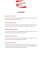

# **CATEGORIES**

#### **Red Apple "State" Award**

This award will be granted to honor statesmen and their countries that have contributed to the socioeconomic integration in Turkic World.

#### **Red Apple "Special" Award**

This award that is limited to one name each year will be granted to honor persons or institutions that have contributed to the Turkic World and Diaspora via strategic mission.

#### **Red Apple "Diplomacy" Award**

This award will be granted to honor diplomats and diplomatic institutions that have contributed to the socioeconomic integration in Turkic World.

#### **Red Apple "Business" Award**

This award will be granted to honor successful businessmen and companies that have contributed to the socioeconomic integration in Turkic World.

#### **Red Apple "Science" Award**

This award will be granted to encourage and honor scientists and scientific institutions that have prepared Turkic World to the necessities of the time and have contributed to the creation of a vision in Turkic World with their scientific studies.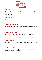

#### **Red Apple "Culture" Award**

This award will be granted to encourage and honor cultural representatives and institutions that have contributed to the development of Turkic World's cultural vision in the international arena.

## **Red Apple "Art" Award**

This award will be granted to honor and encourage successful artists and institutions that have contributed to the expansion of Turkic Aesthetics Style globally with their works of art.

## **Red Apple "Technology" Award**

This Award will be granted to successful researchers, inventors and institutions that have contributed to the technological advancement of humanity with their technical innovative studies and inventions.

## **Red Apple "Strategy" Award**

This award will be granted to honor and encourage bureaucrats, statesmen, politicians and institutions that have contributed to the strategic vision of Turkic political sphere and have carried Turkic World to the future with their successful decisions, activities and policies.

#### **Red Apple "Sports" Awards**

This award will be granted to honor and encourage successful sportsmen that have made name for themselves in both regional and global scales.

## **Red Apple "Public Diplomacy" Award**

This award will be granted to honor journalists and institutions that have contributed to socioeconomic integration in Turkic World.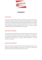

# **RUDIMENTS**

## **Award Council**

An Award Council will be established with the participation and consultation of World Turkic Forum Wise Persons Council and all of its bodies and institutional partners. The consultation process will be conducted by Office of Secretary General of World Turkic Forum and with least bureaucracy and highest contribution; high participation will be tried to maintain. Latest technological communication opportunities will be used at maximum level during management of this process within World Turkic Forum Network.

#### **Determination of Nominees**

As particular persons and institutions can be nominated by all partners; also with surveys and nominations from outside of World Turkic Forum, a candidate list can be prepared. In case of necessity; the opinions of universities and scientific intuitions can be taken into consideration. While determining the nominees; elected representatives can conduct interviews with nominees.

#### **Determination of Rudiments**

Wise Persons Board will meet before and after every Forum and make evaluation in order to determine the nominees, categories and the quality of the awards. The awards will be granted to the nominees within the agenda of the Forum ever year.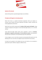

## **Quality of the Awards**

Awards will be granted as specially designed objects and certificates.

## **Principles with Regards to Granting Awards**

World Turkic Forum is a peaceful international organization which puts emphasis on economic, social, scientific and cultural cooperation and adopts a realistic, consistent and humane globalization phenomenon.

World Turkic Forum which is based upon the **freedom of faith, speech and thought**; is being scientific and objective with regards to Turkic World Red Apple Awards as it is in all other activities.

Turkic World Red Apple Awards which will be organized in order for **protection, development, integration and promotion of Turkic identity and culture**; will be granted to those who have contributed to Turkic World based upon their qualifications.

In every category, as one or more than one persons may be granted with awards; also in the following years one or more than one categories may be removed from the ceremony.

An Award can be granted to the individual only once; but he/she can be nominated or granted with awards in different categories at different times.